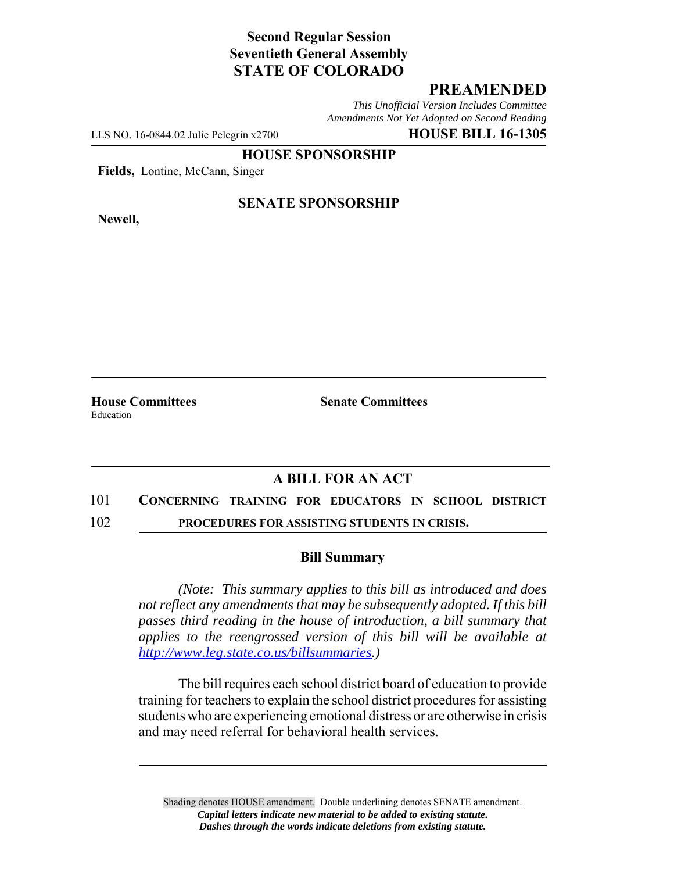# **Second Regular Session Seventieth General Assembly STATE OF COLORADO**

### **PREAMENDED**

*This Unofficial Version Includes Committee Amendments Not Yet Adopted on Second Reading*

LLS NO. 16-0844.02 Julie Pelegrin x2700 **HOUSE BILL 16-1305**

**HOUSE SPONSORSHIP**

**Fields,** Lontine, McCann, Singer

**Newell,**

#### **SENATE SPONSORSHIP**

Education

**House Committees Senate Committees** 

# **A BILL FOR AN ACT**

#### 101 **CONCERNING TRAINING FOR EDUCATORS IN SCHOOL DISTRICT**

102 **PROCEDURES FOR ASSISTING STUDENTS IN CRISIS.**

#### **Bill Summary**

*(Note: This summary applies to this bill as introduced and does not reflect any amendments that may be subsequently adopted. If this bill passes third reading in the house of introduction, a bill summary that applies to the reengrossed version of this bill will be available at http://www.leg.state.co.us/billsummaries.)*

The bill requires each school district board of education to provide training for teachers to explain the school district procedures for assisting students who are experiencing emotional distress or are otherwise in crisis and may need referral for behavioral health services.

Shading denotes HOUSE amendment. Double underlining denotes SENATE amendment. *Capital letters indicate new material to be added to existing statute. Dashes through the words indicate deletions from existing statute.*